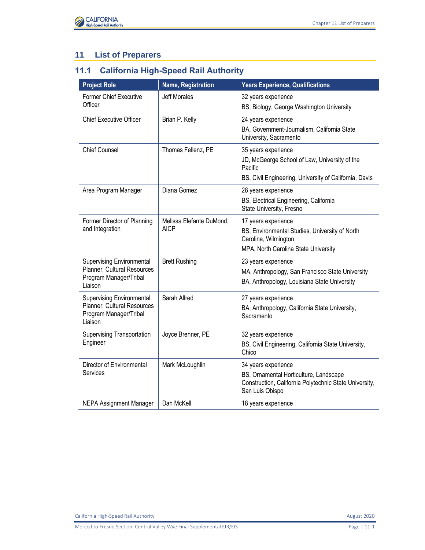

## **11 List of Preparers**

## **11.1 California High-Speed Rail Authority**

| <b>Project Role</b>                                                                                  | <b>Name, Registration</b>               | <b>Years Experience, Qualifications</b>                                                                                                    |
|------------------------------------------------------------------------------------------------------|-----------------------------------------|--------------------------------------------------------------------------------------------------------------------------------------------|
| <b>Former Chief Executive</b><br>Officer                                                             | <b>Jeff Morales</b>                     | 32 years experience<br>BS, Biology, George Washington University                                                                           |
| <b>Chief Executive Officer</b>                                                                       | Brian P. Kelly                          | 24 years experience<br>BA, Government-Journalism, California State<br>University, Sacramento                                               |
| <b>Chief Counsel</b>                                                                                 | Thomas Fellenz, PE                      | 35 years experience<br>JD, McGeorge School of Law, University of the<br>Pacific<br>BS, Civil Engineering, University of California, Davis  |
| Area Program Manager                                                                                 | Diana Gomez                             | 28 years experience<br>BS, Electrical Engineering, California<br>State University, Fresno                                                  |
| Former Director of Planning<br>and Integration                                                       | Melissa Elefante DuMond,<br><b>AICP</b> | 17 years experience<br>BS, Environmental Studies, University of North<br>Carolina, Wilmington;<br>MPA, North Carolina State University     |
| <b>Supervising Environmental</b><br>Planner, Cultural Resources<br>Program Manager/Tribal<br>Liaison | <b>Brett Rushing</b>                    | 23 years experience<br>MA, Anthropology, San Francisco State University<br>BA, Anthropology, Louisiana State University                    |
| <b>Supervising Environmental</b><br>Planner, Cultural Resources<br>Program Manager/Tribal<br>Liaison | Sarah Allred                            | 27 years experience<br>BA, Anthropology, California State University,<br>Sacramento                                                        |
| <b>Supervising Transportation</b><br>Engineer                                                        | Joyce Brenner, PE                       | 32 years experience<br>BS, Civil Engineering, California State University,<br>Chico                                                        |
| Director of Environmental<br>Services                                                                | Mark McLoughlin                         | 34 years experience<br>BS, Ornamental Horticulture, Landscape<br>Construction, California Polytechnic State University,<br>San Luis Obispo |
| <b>NEPA Assignment Manager</b>                                                                       | Dan McKell                              | 18 years experience                                                                                                                        |

California High-Speed Rail Authority **August 2020 August 2020**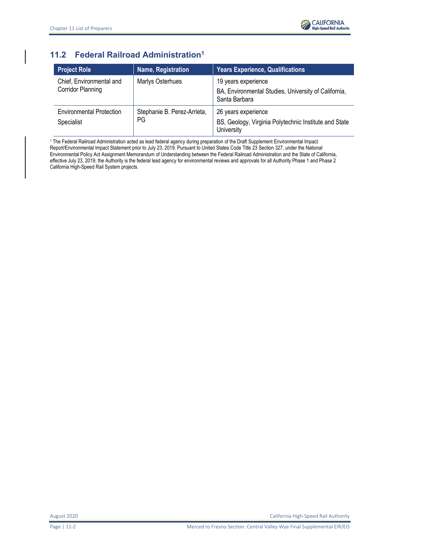

## **11.2 Federal Railroad Administration<sup>1</sup>**

| Project Role                                         | Name, Registration                | <b>Years Experience, Qualifications</b>                                                      |
|------------------------------------------------------|-----------------------------------|----------------------------------------------------------------------------------------------|
| Chief, Environmental and<br><b>Corridor Planning</b> | Marlys Osterhues                  | 19 years experience<br>BA, Environmental Studies, University of California,<br>Santa Barbara |
| <b>Environmental Protection</b><br>Specialist        | Stephanie B. Perez-Arrieta,<br>PG | 26 years experience<br>BS, Geology, Virginia Polytechnic Institute and State<br>University   |

1 The Federal Railroad Administration acted as lead federal agency during preparation of the Draft Supplement Environmental Impact Report/Environmental Impact Statement prior to July 23, 2019. Pursuant to United States Code Title 23 Section 327, under the National Environmental Policy Act Assignment Memorandum of Understanding between the Federal Railroad Administration and the State of California, effective July 23, 2019, the Authority is the federal lead agency for environmental reviews and approvals for all Authority Phase 1 and Phase 2 California High-Speed Rail System projects.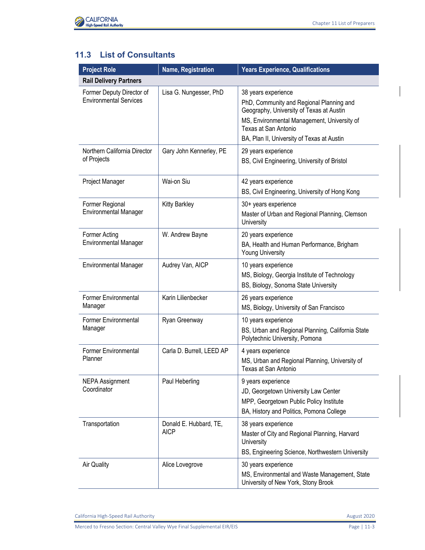

## **11.3 List of Consultants**

| <b>Project Role</b>                                        | Name, Registration                    | <b>Years Experience, Qualifications</b>                                                                                                                                                                                          |
|------------------------------------------------------------|---------------------------------------|----------------------------------------------------------------------------------------------------------------------------------------------------------------------------------------------------------------------------------|
| <b>Rail Delivery Partners</b>                              |                                       |                                                                                                                                                                                                                                  |
| Former Deputy Director of<br><b>Environmental Services</b> | Lisa G. Nungesser, PhD                | 38 years experience<br>PhD, Community and Regional Planning and<br>Geography, University of Texas at Austin<br>MS, Environmental Management, University of<br>Texas at San Antonio<br>BA, Plan II, University of Texas at Austin |
| Northern California Director<br>of Projects                | Gary John Kennerley, PE               | 29 years experience<br>BS, Civil Engineering, University of Bristol                                                                                                                                                              |
| Project Manager                                            | Wai-on Siu                            | 42 years experience<br>BS, Civil Engineering, University of Hong Kong                                                                                                                                                            |
| Former Regional<br><b>Environmental Manager</b>            | <b>Kitty Barkley</b>                  | 30+ years experience<br>Master of Urban and Regional Planning, Clemson<br>University                                                                                                                                             |
| Former Acting<br><b>Environmental Manager</b>              | W. Andrew Bayne                       | 20 years experience<br>BA, Health and Human Performance, Brigham<br><b>Young University</b>                                                                                                                                      |
| <b>Environmental Manager</b>                               | Audrey Van, AICP                      | 10 years experience<br>MS, Biology, Georgia Institute of Technology<br>BS, Biology, Sonoma State University                                                                                                                      |
| <b>Former Environmental</b><br>Manager                     | Karin Lilienbecker                    | 26 years experience<br>MS, Biology, University of San Francisco                                                                                                                                                                  |
| <b>Former Environmental</b><br>Manager                     | Ryan Greenway                         | 10 years experience<br>BS, Urban and Regional Planning, California State<br>Polytechnic University, Pomona                                                                                                                       |
| <b>Former Environmental</b><br>Planner                     | Carla D. Burrell, LEED AP             | 4 years experience<br>MS, Urban and Regional Planning, University of<br>Texas at San Antonio                                                                                                                                     |
| <b>NEPA Assignment</b><br>Coordinator                      | Paul Heberling                        | 9 years experience<br>JD, Georgetown University Law Center<br>MPP, Georgetown Public Policy Institute<br>BA, History and Politics, Pomona College                                                                                |
| Transportation                                             | Donald E. Hubbard, TE,<br><b>AICP</b> | 38 years experience<br>Master of City and Regional Planning, Harvard<br>University<br>BS, Engineering Science, Northwestern University                                                                                           |
| Air Quality                                                | Alice Lovegrove                       | 30 years experience<br>MS, Environmental and Waste Management, State<br>University of New York, Stony Brook                                                                                                                      |

California High-Speed Rail Authority **August 2020**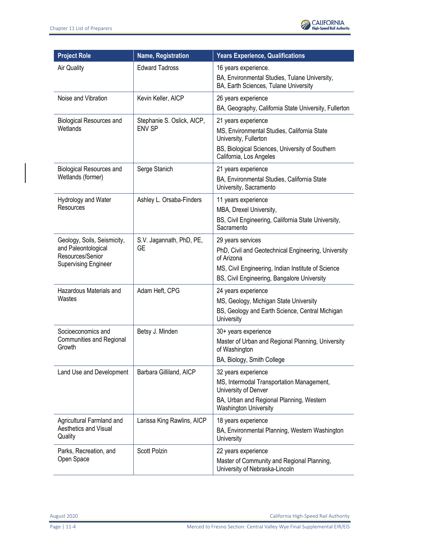

| <b>Project Role</b>                                                                                   | Name, Registration                          | <b>Years Experience, Qualifications</b>                                                                                                                                                     |
|-------------------------------------------------------------------------------------------------------|---------------------------------------------|---------------------------------------------------------------------------------------------------------------------------------------------------------------------------------------------|
| <b>Air Quality</b>                                                                                    | <b>Edward Tadross</b>                       | 16 years experience.<br>BA, Environmental Studies, Tulane University,<br>BA, Earth Sciences, Tulane University                                                                              |
| Noise and Vibration                                                                                   | Kevin Keller, AICP                          | 26 years experience<br>BA, Geography, California State University, Fullerton                                                                                                                |
| <b>Biological Resources and</b><br>Wetlands                                                           | Stephanie S. Oslick, AICP,<br><b>ENV SP</b> | 21 years experience<br>MS, Environmental Studies, California State<br>University, Fullerton<br>BS, Biological Sciences, University of Southern<br>California, Los Angeles                   |
| <b>Biological Resources and</b><br>Wetlands (former)                                                  | Serge Stanich                               | 21 years experience<br>BA, Environmental Studies, California State<br>University, Sacramento                                                                                                |
| Hydrology and Water<br>Resources                                                                      | Ashley L. Orsaba-Finders                    | 11 years experience<br>MBA, Drexel University,<br>BS, Civil Engineering, California State University,<br>Sacramento                                                                         |
| Geology, Soils, Seismicity,<br>and Paleontological<br>Resources/Senior<br><b>Supervising Engineer</b> | S.V. Jagannath, PhD, PE,<br><b>GE</b>       | 29 years services<br>PhD, Civil and Geotechnical Engineering, University<br>of Arizona<br>MS, Civil Engineering, Indian Institute of Science<br>BS, Civil Engineering, Bangalore University |
| Hazardous Materials and<br>Wastes                                                                     | Adam Heft, CPG                              | 24 years experience<br>MS, Geology, Michigan State University<br>BS, Geology and Earth Science, Central Michigan<br>University                                                              |
| Socioeconomics and<br>Communities and Regional<br>Growth                                              | Betsy J. Minden                             | 30+ years experience<br>Master of Urban and Regional Planning, University<br>of Washington<br>BA, Biology, Smith College                                                                    |
| Land Use and Development                                                                              | Barbara Gilliland, AICP                     | 32 years experience<br>MS, Intermodal Transportation Management,<br>University of Denver<br>BA, Urban and Regional Planning, Western<br><b>Washington University</b>                        |
| Agricultural Farmland and<br>Aesthetics and Visual<br>Quality                                         | Larissa King Rawlins, AICP                  | 18 years experience<br>BA, Environmental Planning, Western Washington<br>University                                                                                                         |
| Parks, Recreation, and<br>Open Space                                                                  | Scott Polzin                                | 22 years experience<br>Master of Community and Regional Planning,<br>University of Nebraska-Lincoln                                                                                         |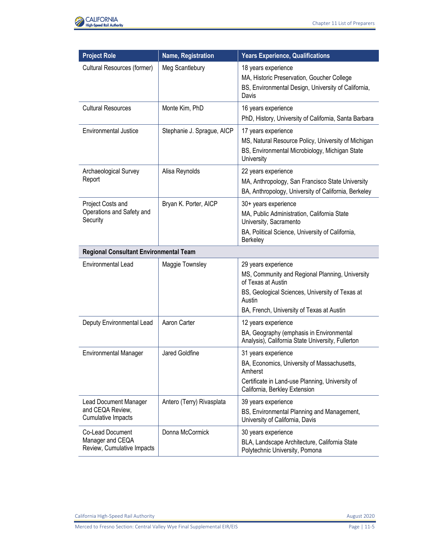

| <b>Project Role</b>                                                           | Name, Registration         | <b>Years Experience, Qualifications</b>                                                                                                                                                                |
|-------------------------------------------------------------------------------|----------------------------|--------------------------------------------------------------------------------------------------------------------------------------------------------------------------------------------------------|
| Cultural Resources (former)                                                   | Meg Scantlebury            | 18 years experience<br>MA, Historic Preservation, Goucher College<br>BS, Environmental Design, University of California,<br>Davis                                                                      |
| <b>Cultural Resources</b>                                                     | Monte Kim, PhD             | 16 years experience<br>PhD, History, University of California, Santa Barbara                                                                                                                           |
| <b>Environmental Justice</b>                                                  | Stephanie J. Sprague, AICP | 17 years experience<br>MS, Natural Resource Policy, University of Michigan<br>BS, Environmental Microbiology, Michigan State<br>University                                                             |
| Archaeological Survey<br>Report                                               | Alisa Reynolds             | 22 years experience<br>MA, Anthropology, San Francisco State University<br>BA, Anthropology, University of California, Berkeley                                                                        |
| Project Costs and<br>Operations and Safety and<br>Security                    | Bryan K. Porter, AICP      | 30+ years experience<br>MA, Public Administration, California State<br>University, Sacramento<br>BA, Political Science, University of California,<br>Berkeley                                          |
| <b>Regional Consultant Environmental Team</b>                                 |                            |                                                                                                                                                                                                        |
| <b>Environmental Lead</b>                                                     | Maggie Townsley            | 29 years experience<br>MS, Community and Regional Planning, University<br>of Texas at Austin<br>BS, Geological Sciences, University of Texas at<br>Austin<br>BA, French, University of Texas at Austin |
| Deputy Environmental Lead                                                     | Aaron Carter               | 12 years experience<br>BA, Geography (emphasis in Environmental<br>Analysis), California State University, Fullerton                                                                                   |
| <b>Environmental Manager</b>                                                  | Jared Goldfine             | 31 years experience<br>BA, Economics, University of Massachusetts,<br>Amherst<br>Certificate in Land-use Planning, University of<br>California, Berkley Extension                                      |
| <b>Lead Document Manager</b><br>and CEQA Review,<br><b>Cumulative Impacts</b> | Antero (Terry) Rivasplata  | 39 years experience<br>BS, Environmental Planning and Management,<br>University of California, Davis                                                                                                   |
| Co-Lead Document<br>Manager and CEQA<br>Review, Cumulative Impacts            | Donna McCormick            | 30 years experience<br>BLA, Landscape Architecture, California State<br>Polytechnic University, Pomona                                                                                                 |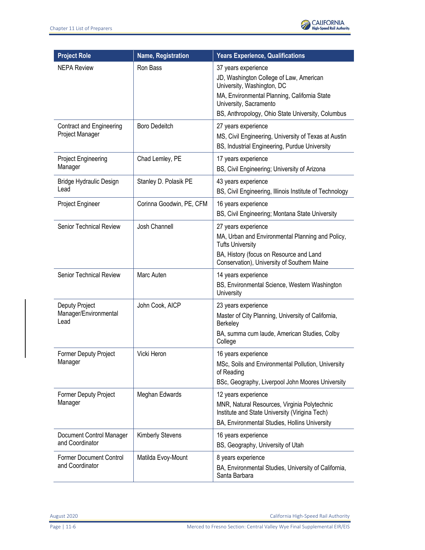

| <b>Project Role</b>                                | <b>Name, Registration</b> | <b>Years Experience, Qualifications</b>                                                                                                                                                                                     |
|----------------------------------------------------|---------------------------|-----------------------------------------------------------------------------------------------------------------------------------------------------------------------------------------------------------------------------|
| <b>NEPA Review</b>                                 | Ron Bass                  | 37 years experience<br>JD, Washington College of Law, American<br>University, Washington, DC<br>MA, Environmental Planning, California State<br>University, Sacramento<br>BS, Anthropology, Ohio State University, Columbus |
| <b>Contract and Engineering</b><br>Project Manager | <b>Boro Dedeitch</b>      | 27 years experience<br>MS, Civil Engineering, University of Texas at Austin<br>BS, Industrial Engineering, Purdue University                                                                                                |
| Project Engineering<br>Manager                     | Chad Lemley, PE           | 17 years experience<br>BS, Civil Engineering; University of Arizona                                                                                                                                                         |
| Bridge Hydraulic Design<br>Lead                    | Stanley D. Polasik PE     | 43 years experience<br>BS, Civil Engineering, Illinois Institute of Technology                                                                                                                                              |
| Project Engineer                                   | Corinna Goodwin, PE, CFM  | 16 years experience<br>BS, Civil Engineering; Montana State University                                                                                                                                                      |
| <b>Senior Technical Review</b>                     | Josh Channell             | 27 years experience<br>MA, Urban and Environmental Planning and Policy,<br><b>Tufts University</b><br>BA, History (focus on Resource and Land<br>Conservation), University of Southern Maine                                |
| Senior Technical Review                            | Marc Auten                | 14 years experience<br>BS, Environmental Science, Western Washington<br>University                                                                                                                                          |
| Deputy Project<br>Manager/Environmental<br>Lead    | John Cook, AICP           | 23 years experience<br>Master of City Planning, University of California,<br>Berkeley<br>BA, summa cum laude, American Studies, Colby<br>College                                                                            |
| <b>Former Deputy Project</b><br>Manager            | Vicki Heron               | 16 years experience<br>MSc, Soils and Environmental Pollution, University<br>of Reading<br>BSc, Geography, Liverpool John Moores University                                                                                 |
| <b>Former Deputy Project</b><br>Manager            | Meghan Edwards            | 12 years experience<br>MNR, Natural Resources, Virginia Polytechnic<br>Institute and State University (Virigina Tech)<br>BA, Environmental Studies, Hollins University                                                      |
| Document Control Manager<br>and Coordinator        | <b>Kimberly Stevens</b>   | 16 years experience<br>BS, Geography, University of Utah                                                                                                                                                                    |
| Former Document Control<br>and Coordinator         | Matilda Evoy-Mount        | 8 years experience<br>BA, Environmental Studies, University of California,<br>Santa Barbara                                                                                                                                 |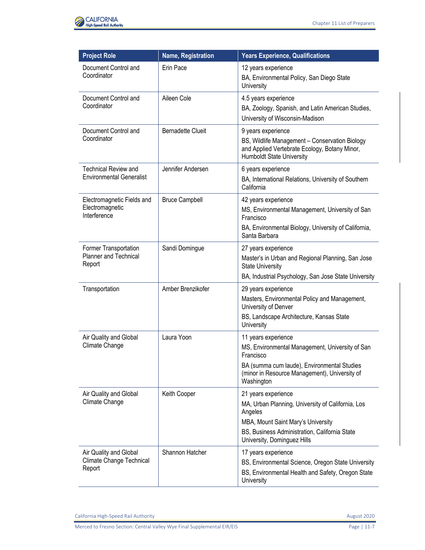

| <b>Project Role</b>                                             | Name, Registration       | <b>Years Experience, Qualifications</b>                                                                                                                                                                   |
|-----------------------------------------------------------------|--------------------------|-----------------------------------------------------------------------------------------------------------------------------------------------------------------------------------------------------------|
| Document Control and<br>Coordinator                             | Erin Pace                | 12 years experience<br>BA, Environmental Policy, San Diego State<br>University                                                                                                                            |
| Document Control and<br>Coordinator                             | Aileen Cole              | 4.5 years experience<br>BA, Zoology, Spanish, and Latin American Studies,<br>University of Wisconsin-Madison                                                                                              |
| Document Control and<br>Coordinator                             | <b>Bernadette Clueit</b> | 9 years experience<br>BS, Wildlife Management - Conservation Biology<br>and Applied Vertebrate Ecology, Botany Minor,<br>Humboldt State University                                                        |
| <b>Technical Review and</b><br><b>Environmental Generalist</b>  | Jennifer Andersen        | 6 years experience<br>BA, International Relations, University of Southern<br>California                                                                                                                   |
| Electromagnetic Fields and<br>Electromagnetic<br>Interference   | <b>Bruce Campbell</b>    | 42 years experience<br>MS, Environmental Management, University of San<br>Francisco<br>BA, Environmental Biology, University of California,<br>Santa Barbara                                              |
| Former Transportation<br><b>Planner and Technical</b><br>Report | Sandi Domingue           | 27 years experience<br>Master's in Urban and Regional Planning, San Jose<br><b>State University</b><br>BA, Industrial Psychology, San Jose State University                                               |
| Transportation                                                  | Amber Brenzikofer        | 29 years experience<br>Masters, Environmental Policy and Management,<br>University of Denver<br>BS, Landscape Architecture, Kansas State<br>University                                                    |
| Air Quality and Global<br>Climate Change                        | Laura Yoon               | 11 years experience<br>MS, Environmental Management, University of San<br>Francisco<br>BA (summa cum laude), Environmental Studies<br>(minor in Resource Management), University of<br>Washington         |
| Air Quality and Global<br>Climate Change                        | Keith Cooper             | 21 years experience<br>MA, Urban Planning, University of California, Los<br>Angeles<br>MBA, Mount Saint Mary's University<br>BS, Business Administration, California State<br>University, Dominguez Hills |
| Air Quality and Global<br>Climate Change Technical<br>Report    | Shannon Hatcher          | 17 years experience<br>BS, Environmental Science, Oregon State University<br>BS, Environmental Health and Safety, Oregon State<br>University                                                              |

California High-Speed Rail Authority **August 2020** 

Merced to Fresno Section: Central Valley Wye Final Supplemental EIR/EIS Page 11-7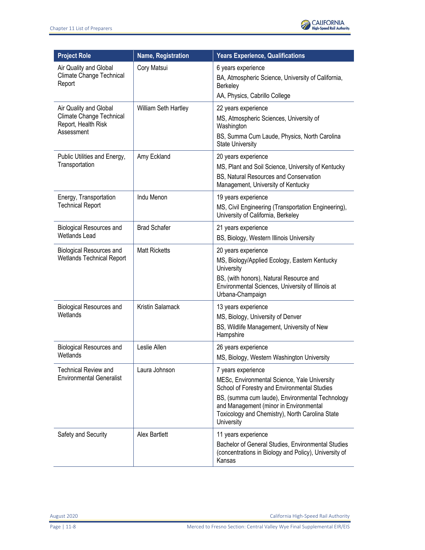

| <b>Project Role</b>                                                                     | Name, Registration   | <b>Years Experience, Qualifications</b>                                                                                                                                                                |
|-----------------------------------------------------------------------------------------|----------------------|--------------------------------------------------------------------------------------------------------------------------------------------------------------------------------------------------------|
| Air Quality and Global<br>Climate Change Technical<br>Report                            | Cory Matsui          | 6 years experience<br>BA, Atmospheric Science, University of California,<br>Berkeley                                                                                                                   |
|                                                                                         |                      | AA, Physics, Cabrillo College                                                                                                                                                                          |
| Air Quality and Global<br>Climate Change Technical<br>Report, Health Risk<br>Assessment | William Seth Hartley | 22 years experience<br>MS, Atmospheric Sciences, University of<br>Washington<br>BS, Summa Cum Laude, Physics, North Carolina                                                                           |
|                                                                                         |                      | <b>State University</b>                                                                                                                                                                                |
| Public Utilities and Energy,<br>Transportation                                          | Amy Eckland          | 20 years experience<br>MS, Plant and Soil Science, University of Kentucky<br>BS, Natural Resources and Conservation<br>Management, University of Kentucky                                              |
| Energy, Transportation<br><b>Technical Report</b>                                       | Indu Menon           | 19 years experience<br>MS, Civil Engineering (Transportation Engineering),<br>University of California, Berkeley                                                                                       |
| <b>Biological Resources and</b><br><b>Wetlands Lead</b>                                 | <b>Brad Schafer</b>  | 21 years experience<br>BS, Biology, Western Illinois University                                                                                                                                        |
| <b>Biological Resources and</b><br><b>Wetlands Technical Report</b>                     | <b>Matt Ricketts</b> | 20 years experience<br>MS, Biology/Applied Ecology, Eastern Kentucky<br>University<br>BS, (with honors), Natural Resource and<br>Environmental Sciences, University of Illinois at<br>Urbana-Champaign |
| <b>Biological Resources and</b>                                                         | Kristin Salamack     | 13 years experience                                                                                                                                                                                    |
| Wetlands                                                                                |                      | MS, Biology, University of Denver                                                                                                                                                                      |
|                                                                                         |                      | BS, Wildlife Management, University of New<br>Hampshire                                                                                                                                                |
| <b>Biological Resources and</b>                                                         | Leslie Allen         | 26 years experience                                                                                                                                                                                    |
| Wetlands                                                                                |                      | MS, Biology, Western Washington University                                                                                                                                                             |
| <b>Technical Review and</b>                                                             | Laura Johnson        | 7 years experience                                                                                                                                                                                     |
| <b>Environmental Generalist</b>                                                         |                      | MESc, Environmental Science, Yale University<br>School of Forestry and Environmental Studies                                                                                                           |
|                                                                                         |                      | BS, (summa cum laude), Environmental Technology<br>and Management (minor in Environmental<br>Toxicology and Chemistry), North Carolina State<br>University                                             |
| Safety and Security                                                                     | Alex Bartlett        | 11 years experience                                                                                                                                                                                    |
|                                                                                         |                      | Bachelor of General Studies, Environmental Studies<br>(concentrations in Biology and Policy), University of<br>Kansas                                                                                  |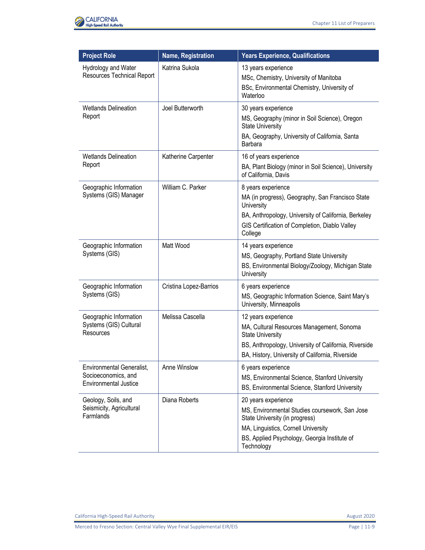

| <b>Project Role</b>                                                                     | <b>Name, Registration</b> | <b>Years Experience, Qualifications</b>                                                                                                                                                                      |
|-----------------------------------------------------------------------------------------|---------------------------|--------------------------------------------------------------------------------------------------------------------------------------------------------------------------------------------------------------|
| Hydrology and Water<br><b>Resources Technical Report</b>                                | Katrina Sukola            | 13 years experience<br>MSc, Chemistry, University of Manitoba<br>BSc, Environmental Chemistry, University of<br>Waterloo                                                                                     |
| <b>Wetlands Delineation</b><br>Report                                                   | Joel Butterworth          | 30 years experience<br>MS, Geography (minor in Soil Science), Oregon<br><b>State University</b><br>BA, Geography, University of California, Santa<br>Barbara                                                 |
| <b>Wetlands Delineation</b><br>Report                                                   | Katherine Carpenter       | 16 of years experience<br>BA, Plant Biology (minor in Soil Science), University<br>of California, Davis                                                                                                      |
| Geographic Information<br>Systems (GIS) Manager                                         | William C. Parker         | 8 years experience<br>MA (in progress), Geography, San Francisco State<br>University<br>BA, Anthropology, University of California, Berkeley<br>GIS Certification of Completion, Diablo Valley<br>College    |
| Geographic Information<br>Systems (GIS)                                                 | Matt Wood                 | 14 years experience<br>MS, Geography, Portland State University<br>BS, Environmental Biology/Zoology, Michigan State<br>University                                                                           |
| Geographic Information<br>Systems (GIS)                                                 | Cristina Lopez-Barrios    | 6 years experience<br>MS, Geographic Information Science, Saint Mary's<br>University, Minneapolis                                                                                                            |
| Geographic Information<br>Systems (GIS) Cultural<br>Resources                           | Melissa Cascella          | 12 years experience<br>MA, Cultural Resources Management, Sonoma<br><b>State University</b><br>BS, Anthropology, University of California, Riverside<br>BA, History, University of California, Riverside     |
| <b>Environmental Generalist,</b><br>Socioeconomics, and<br><b>Environmental Justice</b> | Anne Winslow              | 6 years experience<br>MS, Environmental Science, Stanford University<br>BS, Environmental Science, Stanford University                                                                                       |
| Geology, Soils, and<br>Seismicity, Agricultural<br>Farmlands                            | Diana Roberts             | 20 years experience<br>MS, Environmental Studies coursework, San Jose<br>State University (in progress)<br>MA, Linguistics, Cornell University<br>BS, Applied Psychology, Georgia Institute of<br>Technology |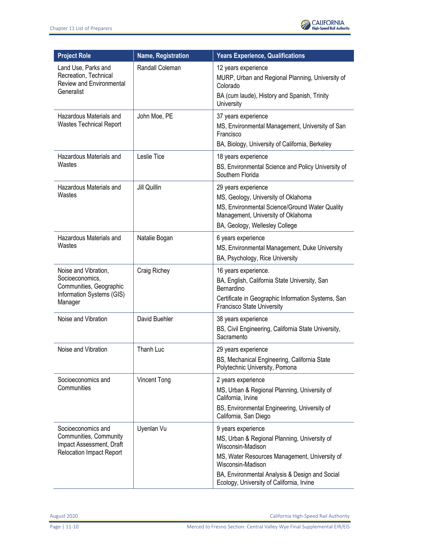

| <b>Project Role</b>                                                                                         | Name, Registration  | <b>Years Experience, Qualifications</b>                                                                                                                                                                                                                      |
|-------------------------------------------------------------------------------------------------------------|---------------------|--------------------------------------------------------------------------------------------------------------------------------------------------------------------------------------------------------------------------------------------------------------|
| Land Use, Parks and<br>Recreation, Technical<br>Review and Environmental<br>Generalist                      | Randall Coleman     | 12 years experience<br>MURP, Urban and Regional Planning, University of<br>Colorado<br>BA (cum laude), History and Spanish, Trinity<br>University                                                                                                            |
| Hazardous Materials and<br><b>Wastes Technical Report</b>                                                   | John Moe, PE        | 37 years experience<br>MS, Environmental Management, University of San<br>Francisco<br>BA, Biology, University of California, Berkeley                                                                                                                       |
| Hazardous Materials and<br>Wastes                                                                           | Leslie Tice         | 18 years experience<br>BS, Environmental Science and Policy University of<br>Southern Florida                                                                                                                                                                |
| Hazardous Materials and<br>Wastes                                                                           | Jill Quillin        | 29 years experience<br>MS, Geology, University of Oklahoma<br>MS, Environmental Science/Ground Water Quality<br>Management, University of Oklahoma<br>BA, Geology, Wellesley College                                                                         |
| Hazardous Materials and<br>Wastes                                                                           | Natalie Bogan       | 6 years experience<br>MS, Environmental Management, Duke University<br>BA, Psychology, Rice University                                                                                                                                                       |
| Noise and Vibration,<br>Socioeconomics,<br>Communities, Geographic<br>Information Systems (GIS)<br>Manager  | Craig Richey        | 16 years experience.<br>BA, English, California State University, San<br>Bernardino<br>Certificate in Geographic Information Systems, San<br>Francisco State University                                                                                      |
| Noise and Vibration                                                                                         | David Buehler       | 38 years experience<br>BS, Civil Engineering, California State University,<br>Sacramento                                                                                                                                                                     |
| Noise and Vibration                                                                                         | Thanh Luc           | 29 years experience<br>BS, Mechanical Engineering, California State<br>Polytechnic University, Pomona                                                                                                                                                        |
| Socioeconomics and<br>Communities                                                                           | <b>Vincent Tong</b> | 2 years experience<br>MS, Urban & Regional Planning, University of<br>California, Irvine<br>BS, Environmental Engineering, University of<br>California, San Diego                                                                                            |
| Socioeconomics and<br>Communities, Community<br>Impact Assessment, Draft<br><b>Relocation Impact Report</b> | Uyenlan Vu          | 9 years experience<br>MS, Urban & Regional Planning, University of<br>Wisconsin-Madison<br>MS, Water Resources Management, University of<br>Wisconsin-Madison<br>BA, Environmental Analysis & Design and Social<br>Ecology, University of California, Irvine |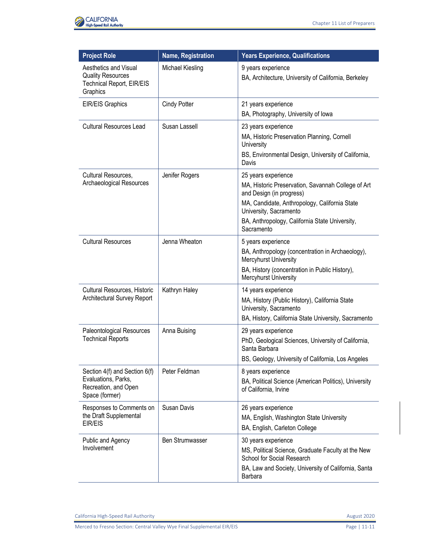

| <b>Project Role</b>                                                                            | Name, Registration     | <b>Years Experience, Qualifications</b>                                                                                                                                                                                                          |
|------------------------------------------------------------------------------------------------|------------------------|--------------------------------------------------------------------------------------------------------------------------------------------------------------------------------------------------------------------------------------------------|
| Aesthetics and Visual<br><b>Quality Resources</b><br>Technical Report, EIR/EIS<br>Graphics     | Michael Kiesling       | 9 years experience<br>BA, Architecture, University of California, Berkeley                                                                                                                                                                       |
| EIR/EIS Graphics                                                                               | <b>Cindy Potter</b>    | 21 years experience<br>BA, Photography, University of Iowa                                                                                                                                                                                       |
| <b>Cultural Resources Lead</b>                                                                 | Susan Lassell          | 23 years experience<br>MA, Historic Preservation Planning, Cornell<br>University<br>BS, Environmental Design, University of California,<br>Davis                                                                                                 |
| Cultural Resources,<br>Archaeological Resources                                                | Jenifer Rogers         | 25 years experience<br>MA, Historic Preservation, Savannah College of Art<br>and Design (in progress)<br>MA, Candidate, Anthropology, California State<br>University, Sacramento<br>BA, Anthropology, California State University,<br>Sacramento |
| <b>Cultural Resources</b>                                                                      | Jenna Wheaton          | 5 years experience<br>BA, Anthropology (concentration in Archaeology),<br>Mercyhurst University<br>BA, History (concentration in Public History),<br>Mercyhurst University                                                                       |
| Cultural Resources, Historic<br>Architectural Survey Report                                    | Kathryn Haley          | 14 years experience<br>MA, History (Public History), California State<br>University, Sacramento<br>BA, History, California State University, Sacramento                                                                                          |
| Paleontological Resources<br><b>Technical Reports</b>                                          | Anna Buising           | 29 years experience<br>PhD, Geological Sciences, University of California,<br>Santa Barbara<br>BS, Geology, University of California, Los Angeles                                                                                                |
| Section 4(f) and Section 6(f)<br>Evaluations, Parks,<br>Recreation, and Open<br>Space (former) | Peter Feldman          | 8 years experience<br>BA, Political Science (American Politics), University<br>of California, Irvine                                                                                                                                             |
| Responses to Comments on<br>the Draft Supplemental<br>EIR/EIS                                  | <b>Susan Davis</b>     | 26 years experience<br>MA, English, Washington State University<br>BA, English, Carleton College                                                                                                                                                 |
| Public and Agency<br>Involvement                                                               | <b>Ben Strumwasser</b> | 30 years experience<br>MS, Political Science, Graduate Faculty at the New<br>School for Social Research<br>BA, Law and Society, University of California, Santa<br><b>Barbara</b>                                                                |

California High-Speed Rail Authority **August 2020**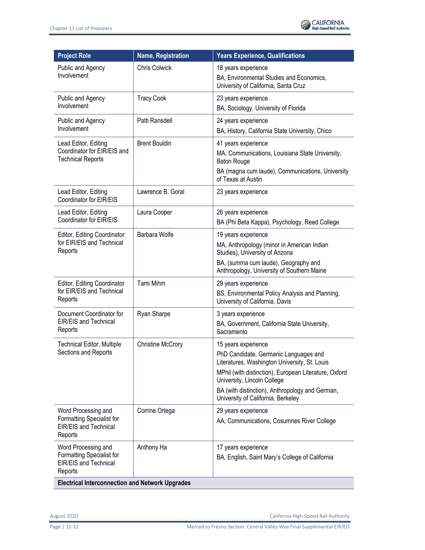

| <b>Project Role</b>                                                                         | <b>Name, Registration</b> | <b>Years Experience, Qualifications</b>                                                                                                                                                                                                                                                        |
|---------------------------------------------------------------------------------------------|---------------------------|------------------------------------------------------------------------------------------------------------------------------------------------------------------------------------------------------------------------------------------------------------------------------------------------|
| Public and Agency<br>Involvement                                                            | <b>Chris Colwick</b>      | 18 years experience<br>BA, Environmental Studies and Economics,<br>University of California, Santa Cruz                                                                                                                                                                                        |
| Public and Agency<br>Involvement                                                            | <b>Tracy Cook</b>         | 23 years experience<br>BA, Sociology, University of Florida                                                                                                                                                                                                                                    |
| Public and Agency<br>Involvement                                                            | Patti Ransdell            | 24 years experience<br>BA, History, California State University, Chico                                                                                                                                                                                                                         |
| Lead Editor, Editing<br>Coordinator for EIR/EIS and<br><b>Technical Reports</b>             | <b>Brent Bouldin</b>      | 41 years experience<br>MA, Communications, Louisiana State University,<br><b>Baton Rouge</b><br>BA (magna cum laude), Communications, University<br>of Texas at Austin                                                                                                                         |
| Lead Editor, Editing<br>Coordinator for EIR/EIS                                             | Lawrence B. Goral         | 23 years experience                                                                                                                                                                                                                                                                            |
| Lead Editor, Editing<br>Coordinator for EIR/EIS                                             | Laura Cooper              | 26 years experience<br>BA (Phi Beta Kappa), Psychology, Reed College                                                                                                                                                                                                                           |
| Editor, Editing Coordinator<br>for EIR/EIS and Technical<br>Reports                         | Barbara Wolfe             | 19 years experience<br>MA, Anthropology (minor in American Indian<br>Studies), University of Arizona<br>BA, (summa cum laude), Geography and<br>Anthropology, University of Southern Maine                                                                                                     |
| Editor, Editing Coordinator<br>for EIR/EIS and Technical<br>Reports                         | Tami Mihm                 | 29 years experience<br>BS, Environmental Policy Analysis and Planning,<br>University of California, Davis                                                                                                                                                                                      |
| Document Coordinator for<br>EIR/EIS and Technical<br>Reports                                | Ryan Sharpe               | 3 years experience<br>BA, Government, California State University,<br>Sacramento                                                                                                                                                                                                               |
| <b>Technical Editor, Multiple</b><br>Sections and Reports                                   | <b>Christine McCrory</b>  | 15 years experience<br>PhD Candidate, Germanic Languages and<br>Literatures, Washington University, St. Louis<br>MPhil (with distinction), European Literature, Oxford<br>University, Lincoln College<br>BA (with distinction), Anthropology and German,<br>University of California, Berkeley |
| Word Processing and<br>Formatting Specialist for<br><b>EIR/EIS and Technical</b><br>Reports | Corrine Ortega            | 29 years experience<br>AA, Communications, Cosumnes River College                                                                                                                                                                                                                              |
| Word Processing and<br>Formatting Specialist for<br><b>EIR/EIS and Technical</b><br>Reports | Anthony Ha                | 17 years experience<br>BA, English, Saint Mary's College of California                                                                                                                                                                                                                         |
| <b>Electrical Interconnection and Network Upgrades</b>                                      |                           |                                                                                                                                                                                                                                                                                                |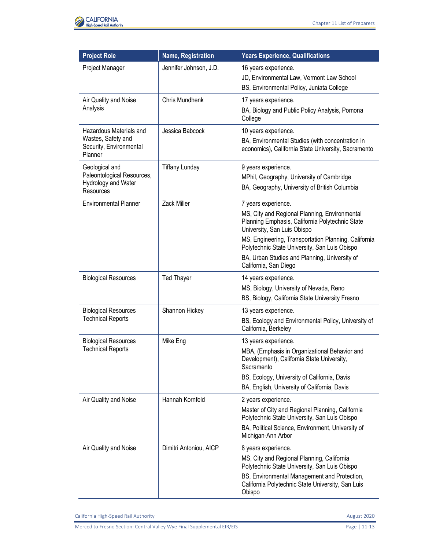

| <b>Project Role</b>                                                                 | <b>Name, Registration</b> | <b>Years Experience, Qualifications</b>                                                                                                                                                                                                                                                                                                   |
|-------------------------------------------------------------------------------------|---------------------------|-------------------------------------------------------------------------------------------------------------------------------------------------------------------------------------------------------------------------------------------------------------------------------------------------------------------------------------------|
| Project Manager                                                                     | Jennifer Johnson, J.D.    | 16 years experience.<br>JD, Environmental Law, Vermont Law School<br>BS, Environmental Policy, Juniata College                                                                                                                                                                                                                            |
| Air Quality and Noise<br>Analysis                                                   | Chris Mundhenk            | 17 years experience.<br>BA, Biology and Public Policy Analysis, Pomona<br>College                                                                                                                                                                                                                                                         |
| Hazardous Materials and<br>Wastes, Safety and<br>Security, Environmental<br>Planner | Jessica Babcock           | 10 years experience.<br>BA, Environmental Studies (with concentration in<br>economics), California State University, Sacramento                                                                                                                                                                                                           |
| Geological and<br>Paleontological Resources,<br>Hydrology and Water<br>Resources    | <b>Tiffany Lunday</b>     | 9 years experience.<br>MPhil, Geography, University of Cambridge<br>BA, Geography, University of British Columbia                                                                                                                                                                                                                         |
| <b>Environmental Planner</b>                                                        | Zack Miller               | 7 years experience.<br>MS, City and Regional Planning, Environmental<br>Planning Emphasis, California Polytechnic State<br>University, San Luis Obispo<br>MS, Engineering, Transportation Planning, California<br>Polytechnic State University, San Luis Obispo<br>BA, Urban Studies and Planning, University of<br>California, San Diego |
| <b>Biological Resources</b>                                                         | <b>Ted Thayer</b>         | 14 years experience.<br>MS, Biology, University of Nevada, Reno<br>BS, Biology, California State University Fresno                                                                                                                                                                                                                        |
| <b>Biological Resources</b><br><b>Technical Reports</b>                             | Shannon Hickey            | 13 years experience.<br>BS, Ecology and Environmental Policy, University of<br>California, Berkeley                                                                                                                                                                                                                                       |
| <b>Biological Resources</b><br><b>Technical Reports</b>                             | Mike Eng                  | 13 years experience.<br>MBA, (Emphasis in Organizational Behavior and<br>Development), California State University,<br>Sacramento<br>BS, Ecology, University of California, Davis<br>BA, English, University of California, Davis                                                                                                         |
| Air Quality and Noise                                                               | Hannah Kornfeld           | 2 years experience.<br>Master of City and Regional Planning, California<br>Polytechnic State University, San Luis Obispo<br>BA, Political Science, Environment, University of<br>Michigan-Ann Arbor                                                                                                                                       |
| Air Quality and Noise                                                               | Dimitri Antoniou, AICP    | 8 years experience.<br>MS, City and Regional Planning, California<br>Polytechnic State University, San Luis Obispo<br>BS, Environmental Management and Protection,<br>California Polytechnic State University, San Luis<br>Obispo                                                                                                         |

California High-Speed Rail Authority **August 2020** 

Merced to Fresno Section: Central Valley Wye Final Supplemental EIR/EIS Page | 11-13